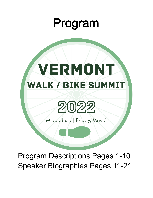# Program

# VERMONT **WALK / BIKE SUMMIT**



Middlebury | Friday, May 6

Program Descriptions Pages 1-10 Speaker Biographies Pages 11-21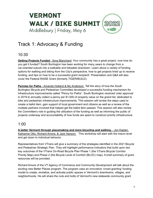# Track 1: Advocacy & Funding

### 10:30

**Getting Projects Funded** - Ilona Blanchard: Your community has a great project, now how do you get it funded? South Burlington has been working for many years to change from a car-oriented suburb into a walkable and bikeable downtown. Learn about a variety of funding options for walking and biking from the City's perspective, how to get projects lined up to receive funding, and tips on how to be a successful grant recipient! Presentation and Q&A will also cover the Federal RAISE Grant (formerly TIGER/BUILD).

**Pennies for Paths** - Amanda Holland & Nic Anderson: Tell the story of how the South Burlington Bicycle and Pedestrian Committee developed a successful funding mechanism for infrastructure improvements called "Penny for Paths". South Burlington received voter approval in 2019 to annually collect a penny per \$1,000 of property value on the grand list, dedicated to bike and pedestrian infrastructure improvements. This session will review the steps used to create a ballot item, gain support of local government and citizens as well as a review of the multiple partners involved that helped get the ballot item passed. This session will also review the Committee's role in guiding the utilization of the funding as well as informing the public of projects underway and accountability of how funds are spent to construct priority infrastructure.

#### 1:00

**A better Vermont through placemaking and more bicycling and walking.** - Jon Kaplan, Katharine Otto, Richard Amore, & Jack Hanson: This workshop will start with the macro level and get down to individual behavior.

Representatives from VTrans will give a summary of the strategies identified in the 2021 Bicycle and Pedestrian Strategic Plan. They will highlight performance indicators that build upon two key outcomes of the VTrans On-Road Bicycle Plan Phase 1 (the VTrans Bicycle Corridor Priority Map) and Phase 2 (the Bicycle Level of Comfort (BLOC) map). A brief summary of grant resources will be provided.

Richard Amore of the VT Agency of Commerce and Community Development will talk about the exciting new Better Places program. The program uses an innovative 'crowd granting' funding model to create, revitalize, and activate public spaces in Vermont's downtowns, villages, and neighborhoods. He will share the nuts and bolts of Vermont's new statewide community grant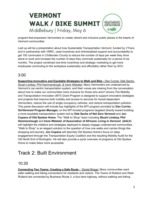

program that empowers Vermonters to create vibrant and inclusive public places in the hearts of Vermont communities.

Last up will be a presentation about how Sustainable Transportation Vermont, funded by VTrans and in partnership with VNRC, used incentives and individualized support and accountability to get 100 commuters in Chittenden County to reduce the number of days per week they drive alone to work and increase the number of days they commute sustainably for a period of six months. The project combined one-time incentives and strategic marketing to get more employees commuting to the workplace sustainably and affordably rather than by SOV.

#### 3:00

**Supporting Innovative and Equitable Strategies to Walk and Bike -** Dan Currier, Deb Sachs, Stuart Lindsey, Phil Hammerslough, & Irene Webster: Many Vermonters are underserved by Vermont's car-centric transportation system, and their voices are missing from the conversation about how to make our communities more inclusive for those who aren't drivers.The Mobility and Transportation Innovation (MTI) Grant Program is designed to support innovative strategies and projects that improve both mobility and access to services for transit-dependent Vermonters, reduce the use of single occupancy vehicles, and reduce transportation pollution. This panel discussion will include key highlights of the MTI program provided by **Dan Currier, Go!Vermont Program Manager,** on the MTI-funded programs targeted directly toward building a more equitable transportation system led by **Deb Sachs of Net Zero Vermont** and **Jon Copans of Old Spokes Home**. The "Walk to Shop" team including **Stuart Lindsay, Phil Hammerslough** and **Irene Webster of Association of Africans Living in Vermont (AALV)** will highlight the initiative and strategies deployed to deeply engage underserved communities. "Walk to Shop" is an elegant solution to the question of how one walks and carries things like shopping and laundry. **Jon Copans** will describe Old Spokes Home's focus on deep engagement through the Transportation Equity Coalition and the resulting Mobility Audit for the Old North End of Burlington. He will also provide a quick overview of programs at Old Spokes Home to make bikes more accessible.

# Track 2: Built Environment

#### 10:30

**Connecting Two Towns: Creating a Safe Route** - Daniel Briggs: Many communities want safer walking and biking connections for residents and visitors. The Towns of Rutland and West Rutland are connected by Business Route 3, a four-lane highway, without walking and biking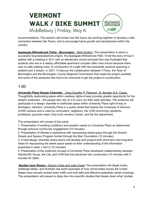accommodations. This session will review how the towns are working together to develop a safe connection between the Towns, and to encourage future growth and development within the corridor.

**Applegate-Willowbrook Pathe - Bennington** - Mark Anders: This presentation is about a successful bicycle/pedestrian project, the Applegate-Willowbrook Path. I'll tell the story of how it started with a meeting in 2011 with an elementary school principal who was frustrated that students who live in a nearby affordable apartment complex often miss school because there was no safe walking route, to construction of a path with two boardwalk sections spanning a wetland and a stream, in 2021. I'll discuss the collaboration between VTrans, the Town of Bennington and the Bennington County Regional Commission that made the project possible, and some of the obstacles that had to be overcome to get the project to construction.

#### 1:00

**University Place Design Charrette** - Greg Goyette, P. Peterson, W. Burdge, & A. Casey: Thoughtfully reallocating space within roadway rights-of-way provides greater opportunity for the street's customers - the people who rely on it to carry out their daily activities. The audience will participate in a design charrette to reallocate space within University Place right-of-way in Burlington, Vermont. University Place is a public street that bisects the University of Vermont (UVM) campus and is used by commuters, neighbors, the UVM community (students, professors, grounds crew), food truck vendors, transit, and the fire department.

This presentation will consist of four parts:

1. Presentation of existing conditions and people's needs on University Place as determined through previous community engagement (10 minutes)

2. Presentation of Stantec's experience with repurposing street space through the Shared Streets and Spaces Program funded through the Barr Foundation (10 minutes)

3. A brief design charrette where teams will develop and present both short-term and long-term ideas for repurposing the street space based on their understanding of the information presented in parts 1 and 2 (15 minutes)

4. Presentation of the preferred concept of University Place developed collaboratively between Stantec/SE Group, the City, and UVM that has advanced into construction (10 minutes with 5 minutes for Q&A)

**Studies have Shown -** Dayton Crites and Julia Ursaki This presentation will dispel myths, challenge fables, and illustrate real world examples of how communities across the United States have actually slowed down traffic and built safe and effective pedestrian street crossings. This presentation will present a deep dive into scientific studies that breaks down what 'studies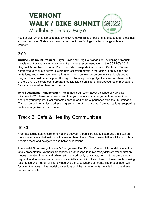have shown' when it comes to actually slowing down traffic or building safe pedestrian crossings across the United States, and how we can use those findings to affect change at home in Vermont.

#### 3:00

**CCRPC Bike Count Program -** Bryan Davis and Greg Rouwangould: Developing a "robust" bicycle count program was a key non-infrastructure recommendation in the CCRPC's 2017 Regional Active Transportation Plan. The UVM Transportation Research Center (TRC) was contracted to evaluate current bicycle data collection efforts in the region, identify gaps and limitations, and make recommendations on how to develop a comprehensive bicycle count program that could better support the region's bicycle planning objectives.We will share analysis of the CCRPC's bicycle count program, deficiencies identified, and proposed recommendations for a comprehensive bike count program.

**UVM Sustainable Transportation -** Faith Ingulsrud: Learn about the kinds of walk-bike initiatives UVM interns contribute to and how you can access undergraduates-for-credit to energize your projects. Hear students describe and share experiences from their Sustainable Transportation internships, addressing green commuting, advocacy/communications, supporting walk-bike organizations, and more.

# Track 3: Safe & Healthy Communities 1

### 10:30

From accessing health care to navigating between a public transit bus stop and a rail station there are locations that just make this easier than others. Thess presentation will focus on how people access and navigate to and between locations.

**Intermodal Community Access & Navigation -** Dan Currier: Vermont Intermodal Connection Study presentation. Vermont's transportation landscape features many different transportation modes operating in rural and urban settings. A primarily rural state, Vermont has unique local, regional, and interstate transit needs, especially when it involves intermodal travel such as using local buses and Amtrak, or intercity bus and the Lake Champlain Ferry. The presentation will focus on the types of intermodal connections and the improvements identified to make these connections better.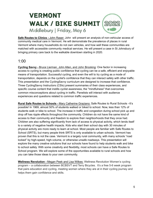**Safe Routes to Clinics -** John Raser: John will present an analysis of non-vehicular access of community medical care in Vermont. He will demonstrate the prevalence of places in rural Vermont where many households do not own vehicles, and how well these communities are matched with accessible community medical services. He will present a case in St Johnsbury of bringing primary care back to the walkable downtown starting in 2020.

#### 1:00

**Cycling Savvy -** Bruce Lierman, John Allen, and John Brooking: One factor in increasing access to cycling is creating public confidence that cycling can be a safe, efficient and enjoyable means of transportation. Successful cycling, and even the will to try cycling as a mode of transportation, depends on the cyclist's confidence that they can interact safely with other traffic. This presentation and the CyclingSavvy curriculum are designed to increase that confidence. Three CyclingSavvy Instructors (CSIs) present summaries of their class experiences, and specific course content that instills cyclist awareness, the "mindfulness" that overcomes common misconceptions about cycling in traffic. Panelists will interact with audience experiences and questions related to common traffic experiences.

**Rural Safe Routes to Schools -** Mary Catherine Graziano: Safe Routes to Rural Schools –It's possible! In 1969, almost 50% of students walked or biked to school. Now, less than 12% of students walk or bike to school. The increase in traffic and congestion during school pick up and drop off has ripple effects throughout the community. Children do not have the same kind of access to their community and freedom to explore their neighborhoods that they once had. Children are also suffering significantly from lack of access to physical activity, which lends itself to a variety of negative health impacts. Kids who start their school day with 30 minutes of physical activity are more ready to learn at school. Most people are familiar with Safe Routes to School (SRTS), but many people think SRTS is only available to urban schools. Vermont has proven that this is not the case. Vermont is a largely rural community, with many schools "road locked" by high-speed, high-volume, or otherwise unsafe roadways. This presentation will explore the many creative solutions that our schools have found to help students walk and bike to school safely. With some creativity and flexibility, most schools can have a Safe Routes to School program. We will explore some of the opportunities available to rural schools and how you can take those ideas to your own community.

**Wellness Revolution -** Megan Peek and Lisa Wilkes: Wellness Revolution Women's cycling program – a collaboration between BCBSVT and Terry Bicycles. It's a free 5-6 week program that pairs education and cycling, meeting women where they are at in their cycling journey and helps them gain confidence and skills.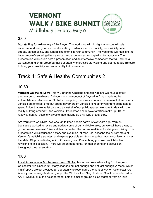### 3:00

**Storytelling for Advocacy -** Allie Breyer: The workshop will highlight why storytelling is important and how you can use storytelling to advance active mobility, accessibility, safer streets, placemaking, and fundraising efforts in your community. The workshop will highlight the importance of centering diverse voices and experiences in storytelling for advocacy. The presentation will include both a presentation and an interactive component that will include a worksheet and small group/partner opportunity to practice storytelling and get feedback. Be sure to bring your creativity and vulnerability to this session!

# Track 4: Safe & Healthy Communities 2

#### 10:30

**Vermont Walk/Bike Laws -** Mary Catherine Graziano and Jon Kaplan: We have a safety problem on our roadways. Did you know the concept of "jaywalking" was made up by automobile manufacturers? Or that at one point, there was a popular movement to keep motor vehicles out of cities, or to put speed governors on vehicles to keep drivers from being able to speed? Now that we've let cars into almost all of our public spaces, we have to deal with the reality of living around 2+ ton vehicles. Pedestrian and bicycle fatalities make up 20% of roadway deaths, despite walk/bike trips making up only 12% of total trips.

Are Vermont's walk/bike laws enough to keep people safe? A few years ago, Vermont Legislators worked to revise and update some of our walk/bike laws, but we still have a way to go before we have walk/bike statutes that reflect the current realities of walking and biking. This presentation will discuss the history and evolution of road use, describe the current state of Vermont's walk/bike statutes, and explore possible solutions to safety gaps in our laws, such as the Idaho Stop or instituting a firm 4' passing law. Please bring your own walk/bike law revisions to this session. There will be an opportunity for idea sharing and discussion throughout the presentation.

#### 1:00

**Local Advocacy in Burlington -** Jason Stuffle: Jason has been advocating for change on Colchester Ave since 2005. Many changes but not enough and not fast enough. A recent water main/repave project provided an opportunity to reconfigure the right of way on Colchester Ave. A newly started neighborhood group, The Old East End Neighborhood Coalition, conducted an AARP walk audit of the neighborhood. Lots of smaller groups pulled together from an initial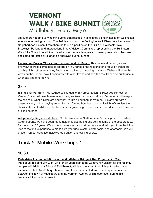spark to provide an overwhelming voice that resulted in bike lanes being installed on Colchester Ave while removing parking. That led Jason to join the Burlington Walk Bike council as a Ward 1 Neighborhood Liaison. From there he found a position on the CCRPC Colchester Ave Bikeways, Parking and Intersections Study Advisory Committee representing the Burlington Walk Bike Council. In addition he will cover the past two years of development which has seen dedicated protected bike lanes be approved but not funded.

**Leveraging Survey Work -** Suzy Hodgson and Bill Regan: This presentation will give an overview of cross-committee collaboration in Charlotte, the reasons for a focus on transport, and highlights of recent survey findings on walking and cycling. Jonathon Weber will share his views on the project, how it compares with other towns and how the results can be put to use in Charlotte and other towns.

### 3:00

**E-Bikes for Vermont -** Mark Anders: The goal of my presentation "E-bikes Are Perfect for Vermont" is to build excitement about using e-bikes for transportation in Vermont, and to explain the basics of what e-bikes are and what it's like riding them in Vermont. It starts out with a personal story of how buying an e-bike transformed how I get around. I will briefly review the classifications of e-bikes, sales trends, laws governing where they can be ridden. I will have two e-bikes on hand.

**Adaptive Cycling -** David Black: RAD Innovations is North America's leading expert in adaptive Cycling sports, we have been manufacturing, distributing and selling some of the best products for more than 20 years. We and our dealers across North America work with you from the initial idea to the final experience to make sure your ride is safe, comfortable, and affordable. We will present on our Adaptive Inclusive Recreation and cycling efforts.

# Track 5: Mobile Workshops 1

#### 10:30

**Pedestrian Accommodations in the Middlebury Bridge & Rail Project -** Jim Gish:

Middlebury resident Jim Gish, who for six years served as Community Liaison for the recently completed Middlebury Bridge & Rail Project, will lead a walking tour highlighting the many improvements to Middlebury's historic downtown that resulted from the unique partnership between the Town of Middlebury and the Vermont Agency of Transportation during this landmark infrastructure project.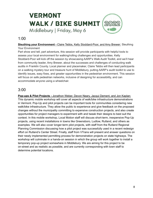### 1:00

#### **Sleuthing your Environment -** Claire Tebbs, Kelly Stoddard-Poor, and Amy Brewer: Sleuthing

Your Environment

Part show and tell, part adventure, this session will provide participants with helpful tools to assess your local environment for walking/rolling challenges and opportunities. Kelly Stoddard-Poor will kick off the session by showcasing AARP's Walk Audit Toolkit, and we'll hear from community leader, Amy Brewer, about the successes and challenges of conducting walk audits in Franklin County. Local planner and placemaker, Claire Tebbs will then lead participants on a walking mystery tour and treasure hunt of Middlebury, putting AARP's audit toolkit to use to identify issues, easy fixes, and greater opportunities in the pedestrian environment. This session will focus on safe pedestrian networks, inclusive of designing for accessibility, and can accommodate anyone using a wheelchair.

### 3:00

**Pop-ups & Pilot Projects -** Jonathon Weber, Devon Neary, Jacqui Dement, and Jon Kaplan: This dynamic mobile workshop will cover all aspects of walk/bike infrastructure demonstrations in Vermont. Pop-Up and pilot projects can be important tools for communities considering new walk/bike infrastructure. They allow the public to experience and give feedback on the proposed changes without the municipality committing to expensive construction projects, and also create opportunities for project managers to experiment with and tweak their designs to best suit the context. In this mobile workshop, Local Motion staff will discuss short-term, inexpensive Pop-Up projects, using recent installations in towns like Greensboro, Ludlow, Rutland, and others as examples. We will also cover longer-term pilot projects, with staff from the Rutland Regional Planning Commission discussing how a pilot project was successfully used in a recent redesign effort on Rutland's Center Street. Finally, staff from VTrans will present and answer questions on their newly implemented permitting process for demonstration projects on state highways. The workshop will culminate in a hands-on session in which the group will work together to install a temporary pop-up project somewhere in Middlebury. We are aiming for this project to be on-street and as realistic as possible, and are currently corresponding with town staff to determine potential locations.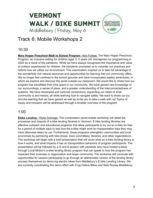# Track 6: Mobile Workshops 2

#### 10:30

**Mary Hogan Preschool Walk to School Program -** Kim Forbes: The Mary Hogan Preschool Program, an inclusive setting for children ages 3- 5 years old, reimagined our programming in 2020 as a result of the pandemic. While we have always recognized the importance and value of outdoor experiences for children, the pandemic prompted us to consider our practices and rethink how we utilize our environment. This examination inspired us to take full advantage of the wonderfully rich natural resources and opportunities for learning that our community offers. We no longer feel confined to the school grounds and have incorporated weekly adventures, in which we explore and discover the world outside our classroom. We would like to share how our program has benefitted from time spent in our community. We have gained new knowledge of our surroundings, a sense of place, and a greater understanding of the interconnectedness of systems. We have developed and nurtured connections; expanding our ideas of what community is and means, all while learning how to navigate safely. We want to share our joy and the learning that we have gained as well as invite you to take a walk with us! Topics of equity and inclusion will be addressed through a broader overview of the program.

#### 1:00

**Ebike Lending -** Wylie Dulmage: This combination panel-mobile workshop will detail the processes and impacts of e-bike lending libraries in Vermont. E-bike lending libraries are effective outreach and educational programs that allow participants to try out an e-bike for free for a period of multiple days to see how the e-bike might work for transportation trips they may have otherwise taken by car. Furthermore, these programs strengthen communities and local economies by partnering with bike shops, town committees, libraries, and other organizations. The workshop will begin with a brief presentation that will cover what an e-bike lending library is, how it works, and what impacts it has on transportation behaviors of program participants. The presentation will be followed by a Q and A session with panelists who have hosted e-bikes through Local Motion's e-bike lending library program that can speak to how the program has impacted their business or organization and larger community. The workshop will conclude with opportunities for session participants to go through an abbreviated version of the lending library process themselves by demo-ing electric bikes from Middlebury's E-bike Lending Library. We are currently coordinating this demo effort with Frog Hollow Bikes and Safe Routes Middlebury.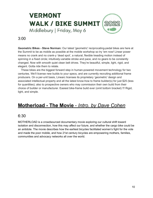#### 3:00

**Geometric Bikes - Steve Norman:** Our latest 'geometric' reciprocating-pedal bikes are here at the Summit to be as mobile as possible at the mobile workshop so try 'em now! Linear power means no crank and no crank-y 'dead spot', a natural, flexible treading motion instead of spinning in a fixed circle; intuitively-variable stroke and pace, and no gears to be constantly changed. Now with smooth quiet clean belt drives. They're beautiful, simple, light, rigid, and elegant. Gotta ride them to relate.

These bikes are the biggest forward step in human-powered movement technology for two centuries. We'll license new builds to your specs, and are currently recruiting additional frame producers. On a per-unit basis, Linearc licenses its proprietary 'geometric' design and associated intellectual property and all the latest know-how to frame builder(s) for just \$25 (less for quantities); also to prospective owners who may commission their own build from their choice of builder or manufacturer. Easiest bike-frame build ever (omit bottom bracket) !!! Rigid, light, and simple.

# **Motherload - The Movie** - *Intro. by Dave Cohen*

#### 6:30

MOTHERLOAD is a crowdsourced documentary movie exploring our cultural shift toward isolation and disconnection, how this may affect our future, and whether the cargo bike could be an antidote. The movie describes how the earliest bicycles facilitated women's fight for the vote and made the poor mobile, and how 21st century bicycles are empowering mothers, families, communities and advocacy networks all over the world.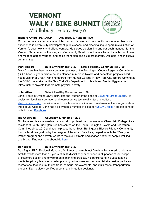#### **Richard Amore, PLA/AICP Advocacy & Funding 1:00**

Richard Amore is a landscape architect, urban planner, and community builder who blends his experience in community development, public space, and placemaking to spark revitalization of Vermont's downtowns and village centers. He serves as planning and outreach manager for the Vermont Department of Housing and Community Development where he works with downtowns and villages across Vermont and helps them plan and build prosperous, walkable, and inclusive communities.

#### **Mark Anders Built Environment 10:30 Safe & Healthy Communities 3:00**

Mark Anders has been a transportation planner at the Bennington County Regional Commission (BCRC) for 12 years, where he has planned numerous bicycle and pedestrian projects. Mark has a Master of Urban Planning degree from Hunter College in New York City. Before working at the BCRC, he worked at the New York City Department of Health and Mental Hygiene on infrastructure projects that promote physical activity.

#### **John Allen Safe & Healthy Communities 1:00**

John Allen is a CyclingSavvy instructor and author of the booklet [Bicycling](https://cyclingsavvy.org//product/street-smarts-cyclingsavvy-edition/) Street Smarts. He cycles for local transportation and recreation. As technical writer and editor at [sheldonbrown.com](https://sheldonbrown.com/), he writes about bicycle customization and maintenance. He is a graduate of Middlebury College. John has also written a number of blogs for Savvy [Cyclist.](https://cyclingsavvy.org/articles/) You can connect with John on [Facebook](https://www.facebook.com/john.s.allen.5).

#### **Nic Anderson Advocacy & Funding 10:30**

Nic Anderson is a sustainable transportation professional that works at Champlain College. As a resident of South Burlington, Nic has served on the South Burlington Bicycle and Pedestrian Committee since 2019 and has help spearhead South Burlington's Bicycle Friendly Community bronze level designation by the League of American Bicyclists, helped launch the "Penny for Paths" program and actively works to make our streets and spaces better for people walking and biking. Find out more about Nic [here.](https://www.linkedin.com/in/nic-anderson/)

#### **Dan Biggs Built Environment 10:30**

Dan Biggs, RLA, Regional Manager/ Sr. Landscape Architect Dan is a Registered Landscape Architect with more than 18 years of multi-disciplinary experience in all phases of landscape architecture design and environmental planning projects. His background includes leading multi-disciplinary teams on master planning, mixed-use and commercial site design, parks and recreational facilities, multi-use trails, campus improvements, and multi-modal transportation projects. Dan is also a certified arborist and irrigation designer.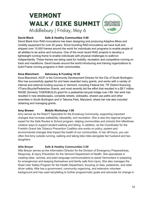#### **David Black Safe & Healthy Communities 3:00**

David Black from RAD-innovations has been designing and producing Adaptive Bikes and mobility equipment for over 20 years. Since founding RAD-innovations we have built and shipped over 15,000 frames around the world for individuals and programs to enable people of all abilities to be active and inclusive. One of the most recent RAD projects is develop a lightweight running frame to enable individuals with physical challenges to walk/run independently. These frames are being used for mobility, recreation and competitive running on track and marathons. David travels around the world introducing and training organizations to build Frame running programs in their communities.

#### **Ilona Blanchard Advocacy & Funding 10:30**

Ilona Blanchard, AICP, is the Community Development Director for the City of South Burlington. She has successfully applied for and been awarded many grants, and works with a variety of internal and external funding sources in Vermont, including Federal Aid, TIF District financing, VTrans Bicycle/Pedestrian Grants, and most recently led the effort that resulted in a \$9.7 million RAISE (formerly TIGER/BUILD) grant for a pedestrian-bicycle bridge over I-89. Her work has resulted in new streetscapes, complete streets, sidewalks, shared use paths and other amenities in South Burlington and in Takoma Park, Maryland, where her role also included obtaining and managing grants.

#### **Amy Brewer Mobile Workshop 1:00**

Amy serves as the RiseVT Specialist for the Enosburg Community, supporting important changes that increase walkability, bikeability, and recreation. She is also the regional program expert for the Safe Routes to School program, helping communities and schools find oftentimes creative ways to support student walking and biking. In addition, as the Coordinator for the Franklin Grand Isle Tobacco Prevention Coalition she works on policy, system and environmental changes that impact the health of our communities. In her off-hours, you can often find Amy outside running, walking and taking bike rides alongside her husband and two daughters.

#### **Allie Breyer Safe & Healthy Communities 3:00**

Allie Breyer serves as the Information Director for the Division of Emergency Preparedness, Response, & Injury Prevention for the Vermont Department of Health. She specializes in creating clear, concise, and plain language communications to assist Vermonters in preparing for emergencies and keeping themselves and family safe from injury. She also manages the Road User Safety Program for the Health Department, focusing on bike, pedestrian, and older driver safety. Allie has a government, community organizing, and extensive volunteer background and has used storytelling to further programmatic goals and advocate for change in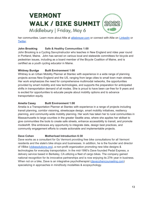her communities. Learn more about Allie at alliebrever.com or connect with Allie on [LinkedIn](http://linkedin.com/in/alliebreyer) or [Twitter](http://twitter.com/alliebreyer).

#### **John Brooking Safe & Healthy Communities 1:00**

John Brooking is a Cycling SavvyInstructor who teaches in New England and rides year round in Portland, Maine. John has served on various local and statewide committees for bicycle and pedestrian issues, including as a board member of the Bicycle Coalition of Maine, and is certified as a youth cycling educator in Maine.

#### **Whitney Burdge Built Environment 1:00**

Whitney is an Urban Mobility Planner at Stantec with experience in a wide range of planning projects across New England and the US, ranging from large cities to small town main streets. Her work emphasizes the need for comprehensive multimodal networks, the opportunities provided by smart mobility and new technologies, and supports the preparation for anticipated shifts in transportation demand of all modes. She is proud to have been car-free for 9 years and is excited for opportunities to educate people about mobility options and to advance transportation equity.

#### **Amelia Casey Built Environment 1:00**

Amelia is a Transportation Planner at Stantec with experience in a range of projects including transit planning, corridor visioning, streetscape design, smart mobility initiatives, resiliency planning, and community-wide mobility planning. Her work has taken her to rural communities in Massachusetts to large counties in the greater Seattle area, where she applies her skillset to give communities the tools to create safe streets, enhance accessibility to transit, and promote modeshift. She embraces any opportunity to integrate data, design best practices, and community engagement efforts to create actionable and implementable projects.

#### **Dave Cohen Motherload Introduction 6:30**

Dave works as a consultant for Go Vermont providing free bike consultations for all Vermont residents and the state's bike shops and businesses. In addition, he is the founder and director of VBike ([vbikesolutions.org\)](http://vbikesolutions.org/), a non-profit organization promoting new bike designs & technologies for everyday transportation. In the mid-1990's Dave founded Pedal Express, a delivery service based in Berkeley, CA utilizing a fleet of cargo bikes. The company gained national recognition for its innovative partnerships and is now enjoying its 27th year in business. When not on a bike, Dave is an integrative psychotherapist [\(davecohencounseling.com](http://davecohencounseling.com/)) specializing in approaches in mind/body modalities & ecopsychology.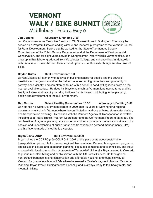#### **Jon Copans Advocacy & Funding 3:00**

Jon Copans serves as Executive Director of Old Spokes Home in Burlington. Previously he served as a Program Director leading climate and leadership programs at the Vermont Council for Rural Development. Before that he worked for the State of Vermont as Deputy Commissioner of the Public Service Department and at the Department of Environmental Conservation, and for eight years served in Congressman Peter Welch's Vermont office. Jon grew up in Brattleboro, graduated from Macalester College, and currently lives in Montpelier with his wife and three children. He is an avid cyclist and enthusiastic though amateur fixer of bikes.

#### **Dayton Crites Built Environment 1:00**

Dayton Crites is a Planner who believes in building spaces for people and the power of creativity to change our world for the better. He loves nothing more than an opportunity to convey ideas visually, and can often be found with a pencil in hand writing ideas down on the nearest available surface. He rides his bicycle as much as Vermont land use patterns and his family will allow, and has bicycle riding to thank for his career contributing to the planning, design and development of the built environment.

**Dan Currier Safe & Healthy Communities 10:30 Advocacy & Funding 3:00** Dan started his State Government career in 2020 after 15 years of working for a regional planning commission in Vermont where he contributed to land-use policies, stormwater design, and transportation planning. His position with the Vermont Agency of Transportation is twofold including as a Public Transit Program Coordinator and the Go! Vermont Program Manager. The combination of regional planning, environmental and transportation experience contribute to his passion and understanding of public transit and transportation demand management (TDM), and his favorite mode of mobility is e-scooter.

#### **Bryan Davis, AICP Built Environment 3:00**

Bryan joined the CCRPC (née CCMPO) in 2007 and is passionate about sustainable transportation options. He focuses on regional Transportation Demand Management programs, specializes in bicycle and pedestrian planning, espouses complete streets principles, and stays engaged with local communities. A graduate of Texas A&M University, Bryan moved to Colorado to pursue mountain biking and public service with the US Forest Service. He then gained non-profit experience in land conservation and affordable housing, and found his way to Vermont for graduate school at UVM where he earned a Master's degree in Natural Resource Planning. Bryan lives in Burlington with his family and is always ready to talk heavy metal and mountain biking.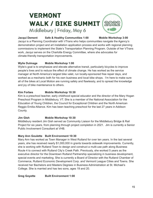#### **Jacqui Dement Safe & Healthy Communities 1:00 Mobile Workshop 3:00**

Jacqui is a Planning Coordinator with VTrans who helps communities navigate the Agency's demonstration project and art installation application process and works with regional planning commissions to implement the State's Transportation Planning Program. Outside of her VTrans work, Jacqui serves on the Charlotte Energy Committee, where she advocates for climate-friendly transportation improvements.

#### **Wylie Dulmage Mobile Workshop 1:00**

Wylie's goal is to emphasize and elevate alternative transit, particularly bicycles to improve people's lives and to reduce the effect of climate change. He has worked as the service manager at North America's largest bike valet, run locally-sponsored free repair days, and worked as a mechanic both for his own business and local bike shops. I'm here to make sure all of the bikes at Local Motion are running safely and flawlessly, and to spread the knowledge and joy of bike maintenance to others.

#### **Kim Forbes Mobile Workshop 10:30**

Kim is a preschool teacher, early childhood special educator and the director of the Mary Hogan Preschool Program in Middlebury, VT. She is a member of the National Association for the Education of Young Children, the Council for Exceptional Children and the North American Reggio Emilia Alliance. Kim has been teaching preschool for the last 27 years in Addison County.

#### **Jim Gish Mobile Workshop 10:30**

Middlebury resident Jim Gish served as Community Liaison for the Middlebury Bridge & Rail Project for six years, from planning through project completion in 2021. Jim is currently a Senior Public Involvement Consultant at VHB.

#### **Mary Ann Goulette Built Environment 10:30**

Mary Ann has worked as Town Manager in West Rutland for over ten years. In the last several years, she has received nearly \$1,000,000 in grants towards sidewalk improvements. Currently, she is working with Rutland Town to design and construct a multi-use path along Business Route 4 to connect with Rutland City's Creek Path. Previously, she worked 5 years as the executive director for the Downtown Rutland Partnership specializing in business development, special events and marketing. She is currently a Board of Director with the Rutland Chamber of Commerce, Rutland Economic Development Corp. and Vermont League Cities and Towns. She received her Bachelors and Masters Degrees in Business Administration at St. Michael's College. She is married and has two sons, ages 19 and 20.

**Greg Goyette Built Environment 1:00**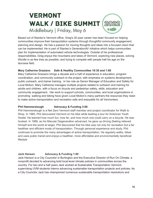Based out of Stantec's Vermont office, Greg's 20-year career has been focused on helping communities improve their transportation systems through thoughtful community engagement, planning and design. He has a passion for moving thoughts and ideas into a focused vision that can be implemented. He is part of Stantec's GenerationAV initiative which helps communities plan for implementation of automated vehicle technologies. Outside of his professional responsibilities, Greg enjoys the mountains and lakes of Vermont, exploring new places, solving Wordle in as few tries as possible, and trying to compete with people half his age on the lacrosse field.

#### **Mary Catherine Graziano Safe & Healthy Communities 10:30 and 1:00**

Mary Catherine Graziano brings a decade and a half of experience in education, program coordination, and community outreach to the project, with emphasis on systems development, public outreach, and trainer training. In her role as Senior Manager of Education and Safety for Local Motion, Mary Catherine manages multiple projects related to outreach and training for adults and children, with a focus on bicycle and pedestrian safety, skills, education and community engagement. Her work to support schools, communities, and local organizations in promoting walking and biking have given Local Motion's many partners the resources they need to make active transportation and recreation safe and enjoyable for all Vermonters.

#### **Phil Hammerslough Advocacy & Funding 3:00**

Phil Hammerslough is a Net Zero Vermont staff member and project coordinator for Walk to Shop. In 1965, Phil discovered Vermont on his bike while leading a tour for American Youth Hostel. He learned how much fun, how far, and how much one could carry on a bicycle. He was hooked. In 1989, as his Macular Degeneration advanced, he gave up driving (feeling relieved himself and the world at large). Phil discovered that his bike was not only for recreation but a far healthier and efficient mode of transportation. Through personal experience and study, Phil continues to promote the many advantages of active transportation. He regularly walks, bikes and uses public transit and enjoys a healthier, more affordable and environmentally beneficial lifestyle.

#### **Jack Hanson Advocacy & Funding 1:00**

Jack Hanson is a City Councilor in Burlington and the Executive Director of Run On Climate, a nonprofit devoted to advancing bold local-level climate policies in communities across the country. For two and a half years Jack worked at Sustainable Transportation Vermont, supervising UVM students interns advancing sustainable transportation projects and policies. As a City Councilor Jack has championed numerous sustainable transportation resolutions and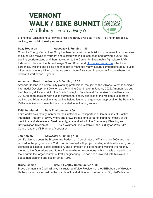ordinances. Jack has never owned a car and rarely ever gets in one – relying on his ebike, walking, and public transit year round.

#### **Suzy Hodgson Advocacy & Funding 1:00**

Charlotte Energy Committee. Suzy has been an environmentalist for more years than she cares to count. She moved to Vermont and started working in local food and farming in 2008, first starting yourfarmstand and then moving on to the Center for Sustainable Agriculture, UVM Extension. She's on the Acorn Energy Co-op Board and [https://livegreenvt.org.](https://livegreenvt.org) She loves gardening, walking and biking and tries not to make too many cultural comparisons about public infrastructure where biking and trains are a mode of transport in places in Europe where she lived and worked for 16 years.

#### **Amanda Holland Advocacy & Funding 10:30**

Amanda Holland is a community planning professional that joined the VTrans Policy, Planning & Intermodal Development Division as a Planning Coordinator in January 2022. Amanda has put her planning skills to work for the South Burlington Bicycle and Pedestrian Committee since 2015. Amanda assisted with public outreach to identify priorities of the residents to improve walking and biking conditions as well as helped launch and gain voter approval for the Penny for Paths initiative which resulted in a dedicated local funding source.

#### **Faith Ingulsrud Built Environment 3:00**

Faith works as a faculty mentor for the Sustainable Transportation Communities of Practice internship Program at UVM, where she draws from a long career in planning, mostly at the municipal and state levels. Most recently, she worked with the Community Planning and Revitalization Division at DHCD. As a volunteer, she is active in the Burlington Walk Bike Council and the VT Planners Association.

#### **Jon Kaplan Advocacy & Funding 1:00**

Jon Kaplan has been the Bicycle and Pedestrian Coordinator at VTrans since 2009 and has worked in the program since 2000. Jon is involved with project funding and development, policy, technical assistance, safety education, and promotion of bicycling and walking. He recently moved to the Operations and Safety Bureau where he continues with a bicycle and pedestrian focus within the larger context of traffic engineering. He has been involved with bicycle and pedestrian planning and design since 1993.

#### **Bruce Lieman Safe & Healthy Communities 1:00**

Bruce Lierman is a CyclingSavvy Instructor and Vice President of the ABEA board of directors. He has previously served on the boards of Local Motion and the Vermont Bicycle-Pedestrian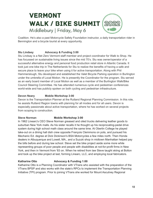Coalition. He's also a past Motorcycle Safety Foundation instructor, a daily transportation rider in Bennington and a bicycle tourist at every opportunity.

#### **Stu Lindsey Advocacy & Funding 3:00**

Stu Lindsay is a Net Zero Vermont staff member and project coordinator for Walk to Shop. He has focussed on sustainable living issues since the mid 70's. Stu was owner/operator of a successful alternative energy and personal food production retail store in Atlantic Canada. It took just one bike trip in The Netherlands for Stu to realize the benefits of having a safe and secure place to leave your bike when using it for active transportation. Along with Phil Hammerslough, Stu developed and established the Valet Bicycle Parking operation in Burlington under the umbrella of Local Motion. He is presently the Coordinator for the program. Stu served as an early board member of Local Motion as well as a member of the Burlington Walk/Bike Council Steering Committee. He has attended numerous cycle and pedestrian conferences world-wide and has publicly spoken on both cycling and pedestrian infrastructure.

#### **Devon Neary Mobile Workshop 3:00**

Devon is the Transportation Planner at the Rutland Regional Planning Commission. In this role, he assists Rutland Region towns with planning for all modes and for all users. Devon is especially passionate about active transportation, where he has worked on several projects from scoping to construction.

#### **Steve Norman Mobile Workshop 3:00**

In 1962 Linearc's CEO Steve Norman greased and oiled trucks delivering leather goods to suburban New York malls. As his sister recalls it he thought up his reciprocating-pedal drive system during high school math class around the same time. At Oberlin College he played take-out on a dining hall dish crew opposite François Clemmons on pots, and pursued his Mechanic Ed. degree at Dick Dickinson's BSA Motorcycles a few miles north. Then Honda dealers in Albuquerque and Lowell, MA., and a Suzuki shop in midtown Manhattan helped pay the bills before and during law school. Steve set the bike project aside some more while representing groups of poor people and people with disabilities at not-for-profit firms in New York, and then in Vermont from '83 on. When he retired from law Steve taught skiing at Bolton and took up the bike project at last, forming Linearc, LLC, and employing local fabricators.

#### **Katharine Otto Advocacy & Funding 1:00**

Katharine Otto is a Planning Coordinator with VTrans who assisted with the preparation of the VTrans BPSP and also works with the state's RPCs to implement the Transportation Planning Initiative (TPI) program. Prior to joining VTrans she worked for Mount Ascutney Regional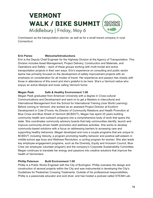Commission as the transportation planner, as well as for a small transit company in rural Connecticut.

#### **Erin Parizo Welcome/Introductions**

Erin is the Deputy Chief Engineer for the Highway Division at the Agency of Transportation. This Division includes Asset Management, Project Delivery, Construction and Materials, and Operations and Safety – each of these groups working with multi-modal and active transportation projects in their own ways. Erin's experience on consulting and public sector teams has primarily focused on the development of safety improvement projects with an emphasis on consideration for all modes of travel. Her experience and passion ties closely with those in attendance of this event and she's grateful to be here. She's a Vermont native who enjoys an active lifestyle and loves calling Vermont home.

#### **Megan Peek Safe & Healthy Environment 1:00**

Megan Peek graduated from American University with a degree in Cross-cultural Communications and Development and went on to get a Masters in intercultural and International Management from the School for International Training (now World Learning). Before coming to Vermont, she worked as an assistant Project Director at Ecoform Development in Cote D'Ivoire. As Director of Community Relations and Health Promotion at Blue Cross and Blue Shield of Vermont (BCBSVT), Megan has spent 25 years building community health and outreach programs into a comprehensive body of work that spans the state. She coordinates community advisory boards that help communities identify, launch and improve community-driven health promotion and wellness activities. She works to develop community-based solutions with a focus on addressing barriers to accessing care and supporting healthy behaviors. Megan developed and runs a couple programs that are unique to BCBSVT, including Velocity, a program promoting healthy behavior and positive self-esteem in middle-school age boys and Wellness Revolution, a cycling program for women. She also leads key employee engagement programs, such as the Diversity, Equity and Inclusion Council, Blue Crew (an employee volunteer program) and the company's Corporate Sustainability Committee. Megan continues to translate her energy and passions into creative solutions that improve the health of Vermonters.

#### **Phillip Peterson Built Environment 1:00**

Phillip is a Public Works Engineer with the City of Burlington. Phillip oversees the design and construction of several projects within the City and was instrumental in developing the City's Guidelines for Pedestrian Crossing Treatments. Outside of his professional responsibilities, Phillip is a passionate educator and avid diver, and has hosted a podcast called STEAM Lab.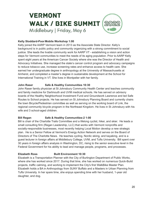#### **Kelly Stoddard-Poor Mobile Workshop 1:00**

Kelly joined the AARP Vermont team in 2013 as the Associate State Director. Kelly's background is in public policy and community organizing with a strong commitment to social justice. She leads the livable community work for AARP VT - establishing a vision and action steps for Vermont communities to meet the needs of its aging population. Prior to AARP Kelly spent eight years at the American Cancer Society where she was the Director of Health and Advocacy Initiatives. She managed the state's cancer control program and advocacy campaigns to reduce tobacco use, increase screening rates and enhance access to health care. She earned her undergraduate degree in anthropology at the University of Massachusetts at Amherst, and completed a master's degree in sustainable development at the School for International Training in VT. She lives in Montpelier with her family.

#### **John Raser Safe & Healthy Communities 10:30**

John Raser family physician at St Johnsbury Community Health Center and teaches community and family medicine for Dartmouth and UVM medical schools. He has served on advisory boards of the Healthy Neighborhood Investment Fund and Groundwork Lawrence and led Safe Routes to School projects. He has served on St Johnsbury Planning Board and currently chairs the town Bicycle/Pedestrian committee as well as serving on the working board of Link, the regional community bicycle program in the Northeast Kingdom. He lives in St Johnsbury with his wife and 3 school-aged children.

#### **Bill Regan Safe & Healthy Communities-2 1:00**

Bill is chair of the Charlotte Trails Committee and a lifelong cyclist, hiker, and skier. He leads a small consulting firm (Regan Leadership, LLC) that works with Vermont nonprofits and socially-responsible businesses, most recently helping Local Motion develop a new strategic plan. He is a Senior Fellow at Vermont's Energy Action Network and serves on the Board of Directors of The Charlotte News. He teaches cycling, Nordic skiing, and kayaking, and is a guest lecturer in foreign affairs at Middlebury College, UVM, and Tufts University. Bill spent over 30 years in foreign affairs analysis in Washington, DC, rising to the senior executive level in the Federal Government for his ability to lead and manage people, programs, and processes.

#### **Elizabeth Ross Built Environment 10:30**

Elizabeth is a Transportation Planner with the City of Burlington Department of Public Works, where she has worked since 2017. During that time, she has worked on numerous Quick-Build projects, traffic calming, and working to implement the City's first WalkBike Master Plan. Elizabeth holds a BA in Anthropology from SUNY Buffalo and a Masters in Urban Planning from Tufts University. In her spare time, she enjoys spending time with her husband, 1-year old daughter, and dog.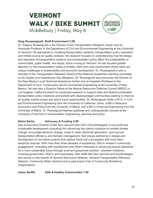#### **Greg Rouwangould Built Environment 3:00**

Dr. Gregory Rowangould is the Director of the Transportation Research Center and an Associate Professor in the Department of Civil and Environmental Engineering at the University of Vermont. He specializes in modeling transportation systems, transportation policy evaluation and mobile source air quality analysis. His research focuses on understanding how the design and operation of transportation systems and transportation policy affect the sustainability of communities, public health, and equity. Since moving to Vermont, he has focused greater attention on the transportation needs of smaller cities and rural communities where there are unique challenges to sustainability and economic development. Dr. Rowangould is also a member of the Transportation Research Board of the National Academies standing committee on Air Quality and Greenhouse Gas Mitigation. Dr. Rowangould was previously the Director of the New Mexico Local Technical Assistance Center and an Assistant Professor in the Department of Civil, Construction and Environmental Engineering at the University of New Mexico. He was also a Science Fellow at the Natural Resources Defense Council (NRDC) in Los Angeles, California where he conducted research to support state and federal sustainable transportation policy initiatives and worked with disadvantaged communities seeking to improve air quality, transit access and active travel opportunities. Dr. Rowangould holds a Ph.D. in Civil and Environmental Engineering from the University of California, Davis, a MS in Resource Economics and Policy from the University of Maine, and a BS in Chemical Engineering from the University of Maine. Dr. Rowangould teaches graduate and undergraduate courses at the University of Vermont in transportation engineering, planning and policy.

#### **Debra Sachs Advocacy & Funding 3:00**

Deb is Executive Director of Net Zero Vermont and CEO of EcoStrategies–a non-profit and sustainable development consulting firm advancing low carbon solutions to combat climate change, encourage behavior change, invest in clean electricity generation, and improve transportation efficiency and demand management. Deb enjoys partnering in design and development of innovative projects that replace fossil fuel consumption with local clean electricity sources. With more than three decades of experience, Deb is versed in community engagement, consulting with practitioners and others interested in advancing shared objectives for a more sustainable future through local and grassroots activism, volunteer initiatives, involving government, NGO's and businesses. Deb staffs Net Zero Vermont and EcoStrategies and serves on the boards of Vermont Rail Action Network, Vermont Transportation Efficiency Network, Community Rides Vermont and is past board chair of Community Resilience Organizations.

**Jason Stuffle Safe & Healthy Communities 1:00**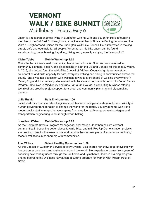Jason is a research engineer living in Burlington with his wife and daughter. He is a founding member of the Old East End Neighbors, an active member of Bikeable Burlington Now and the Ward 1 Neighborhood Liaison for the Burlington Walk Bike Council. He is interested in making streets safe and equitable for all people. When not on his bike Jason can be found snowboarding, home brewing, kayaking, hiking and generally enjoying the beauty of VT.

#### **Claire Tebbs Mobile Workshop 1:00**

Claire Tebbs is a seasoned community planner and educator. She has been involved in community planning, design, and placemaking in both the US and Canada for the past 20 years. In 2016, she helped form the Walk-Bike Council of Addison County to ignite conversation, collaboration and build capacity for safe, everyday walking and biking in communities across the county. She owes her obsession with walkable towns to a childhood of walking everywhere in Yeovil, England. Most recently, she worked with the state to help launch Vermont's Better Places Program. She lives in Middlebury and runs *Ear to the Ground*, a consulting business offering technical and creative project support for school and community planning and placemaking projects.

#### **Julia Ursaki Built Environment 1:00**

Julia Ursaki is a Transportation Engineer and Planner who is passionate about the possibility of human powered transportation to change the world for the better. Equally at home with traffic models as illustrative maps, her work spans from creative public engagement strategies and transportation engineering to sourdough bread baking.

#### **Jonathon Weber Mobile Workshop 3:00**

As the Complete Streets Program Manager at Local Motion, Jonathon assists Vermont communities in becoming better places to walk, bike, and roll. Pop-Up Demonstration projects are one important tool he uses in this work, and he has several years of experience deploying these installations in partnership with communities.

#### **Lisa Wilkes Safe & Healthy Communities 1:00**

As the Director of Customer Service at Terry Cycling, Lisa shares her knowledge of cycling with her customer care team and customers around the world. Her experience comes from years of coaching new century riders through the Leukemia and Lymphoma, Team in Training program and co-operating the Wellness Revolution, a cycling program for women with Megan Peek of BCBS.